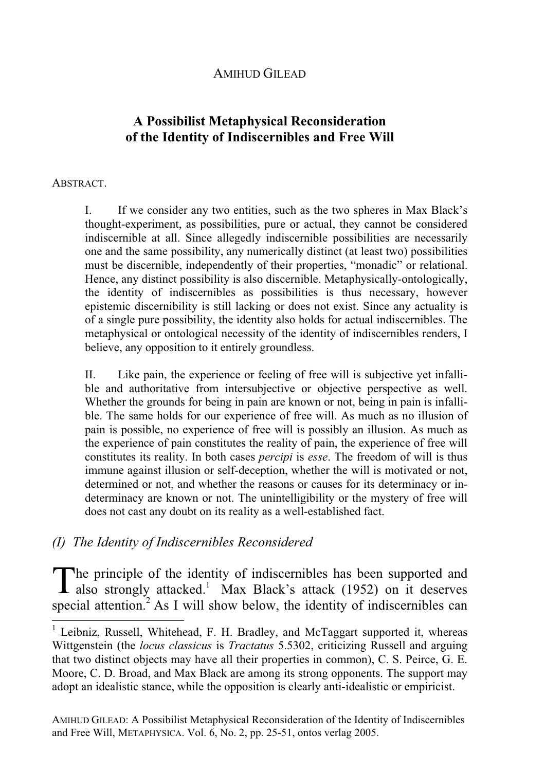### AMIHUD GILEAD

# **A Possibilist Metaphysical Reconsideration of the Identity of Indiscernibles and Free Will**

#### **ABSTRACT.**

 I. If we consider any two entities, such as the two spheres in Max Black's thought-experiment, as possibilities, pure or actual, they cannot be considered indiscernible at all. Since allegedly indiscernible possibilities are necessarily one and the same possibility, any numerically distinct (at least two) possibilities must be discernible, independently of their properties, "monadic" or relational. Hence, any distinct possibility is also discernible. Metaphysically-ontologically, the identity of indiscernibles as possibilities is thus necessary, however epistemic discernibility is still lacking or does not exist. Since any actuality is of a single pure possibility, the identity also holds for actual indiscernibles. The metaphysical or ontological necessity of the identity of indiscernibles renders, I believe, any opposition to it entirely groundless.

II. Like pain, the experience or feeling of free will is subjective yet infallible and authoritative from intersubjective or objective perspective as well. Whether the grounds for being in pain are known or not, being in pain is infallible. The same holds for our experience of free will. As much as no illusion of pain is possible, no experience of free will is possibly an illusion. As much as the experience of pain constitutes the reality of pain, the experience of free will constitutes its reality. In both cases *percipi* is *esse*. The freedom of will is thus immune against illusion or self-deception, whether the will is motivated or not, determined or not, and whether the reasons or causes for its determinacy or indeterminacy are known or not. The unintelligibility or the mystery of free will does not cast any doubt on its reality as a well-established fact.

## *(I) The Identity of Indiscernibles Reconsidered*

he principle of the identity of indiscernibles has been supported and The principle of the identity of indiscernibles has been supported and also strongly attacked.<sup>1</sup> Max Black's attack (1952) on it deserves special attention.<sup>2</sup> As I will show below, the identity of indiscernibles can

<sup>&</sup>lt;sup>1</sup> Leibniz, Russell, Whitehead, F. H. Bradley, and McTaggart supported it, whereas Wittgenstein (the *locus classicus* is *Tractatus* 5.5302, criticizing Russell and arguing that two distinct objects may have all their properties in common), C. S. Peirce, G. E. Moore, C. D. Broad, and Max Black are among its strong opponents. The support may adopt an idealistic stance, while the opposition is clearly anti-idealistic or empiricist.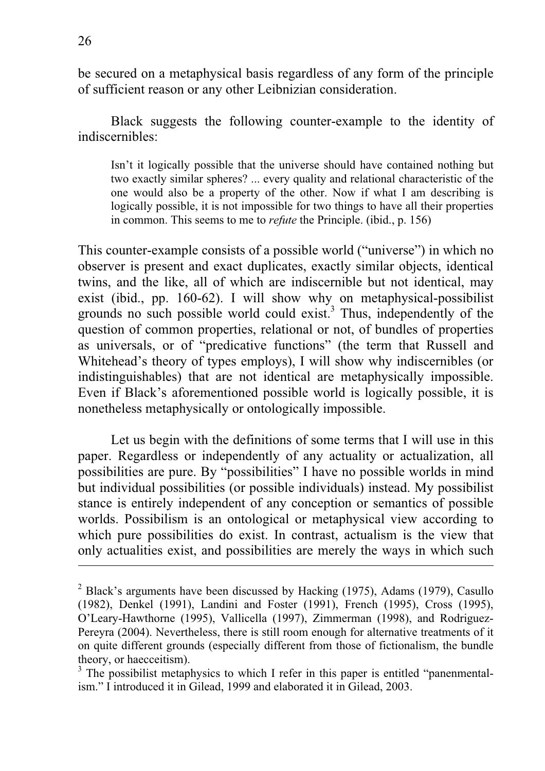be secured on a metaphysical basis regardless of any form of the principle of sufficient reason or any other Leibnizian consideration.

 Black suggests the following counter-example to the identity of indiscernibles:

Isn't it logically possible that the universe should have contained nothing but two exactly similar spheres? ... every quality and relational characteristic of the one would also be a property of the other. Now if what I am describing is logically possible, it is not impossible for two things to have all their properties in common. This seems to me to *refute* the Principle. (ibid., p. 156)

This counter-example consists of a possible world ("universe") in which no observer is present and exact duplicates, exactly similar objects, identical twins, and the like, all of which are indiscernible but not identical, may exist (ibid., pp. 160-62). I will show why on metaphysical-possibilist grounds no such possible world could exist.<sup>3</sup> Thus, independently of the question of common properties, relational or not, of bundles of properties as universals, or of "predicative functions" (the term that Russell and Whitehead's theory of types employs), I will show why indiscernibles (or indistinguishables) that are not identical are metaphysically impossible. Even if Black's aforementioned possible world is logically possible, it is nonetheless metaphysically or ontologically impossible.

 Let us begin with the definitions of some terms that I will use in this paper. Regardless or independently of any actuality or actualization, all possibilities are pure. By "possibilities" I have no possible worlds in mind but individual possibilities (or possible individuals) instead. My possibilist stance is entirely independent of any conception or semantics of possible worlds. Possibilism is an ontological or metaphysical view according to which pure possibilities do exist. In contrast, actualism is the view that only actualities exist, and possibilities are merely the ways in which such

 $\overline{a}$ 

 $2$  Black's arguments have been discussed by Hacking (1975), Adams (1979), Casullo (1982), Denkel (1991), Landini and Foster (1991), French (1995), Cross (1995), O'Leary-Hawthorne (1995), Vallicella (1997), Zimmerman (1998), and Rodriguez-Pereyra (2004). Nevertheless, there is still room enough for alternative treatments of it on quite different grounds (especially different from those of fictionalism, the bundle theory, or haecceitism).

<sup>&</sup>lt;sup>3</sup> The possibilist metaphysics to which I refer in this paper is entitled "panenmentalism." I introduced it in Gilead, 1999 and elaborated it in Gilead, 2003.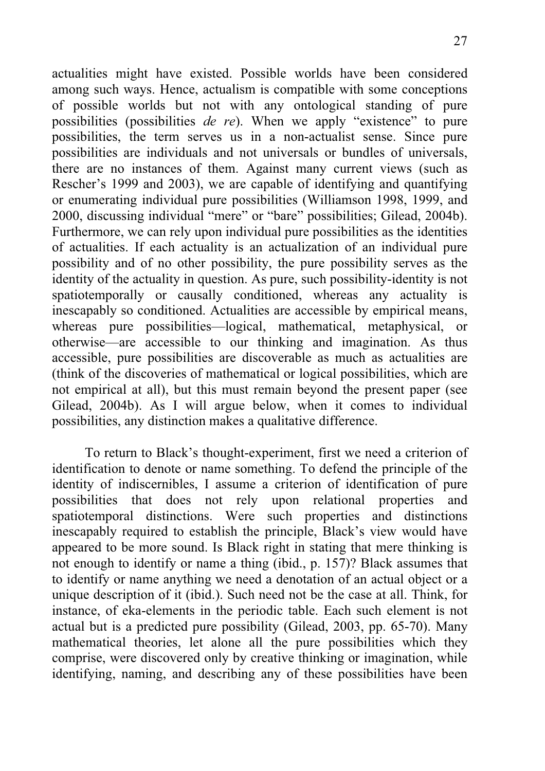actualities might have existed. Possible worlds have been considered among such ways. Hence, actualism is compatible with some conceptions of possible worlds but not with any ontological standing of pure possibilities (possibilities *de re*). When we apply "existence" to pure possibilities, the term serves us in a non-actualist sense. Since pure possibilities are individuals and not universals or bundles of universals, there are no instances of them. Against many current views (such as Rescher's 1999 and 2003), we are capable of identifying and quantifying or enumerating individual pure possibilities (Williamson 1998, 1999, and 2000, discussing individual "mere" or "bare" possibilities; Gilead, 2004b). Furthermore, we can rely upon individual pure possibilities as the identities of actualities. If each actuality is an actualization of an individual pure possibility and of no other possibility, the pure possibility serves as the identity of the actuality in question. As pure, such possibility-identity is not spatiotemporally or causally conditioned, whereas any actuality is inescapably so conditioned. Actualities are accessible by empirical means, whereas pure possibilities—logical, mathematical, metaphysical, or otherwise—are accessible to our thinking and imagination. As thus accessible, pure possibilities are discoverable as much as actualities are (think of the discoveries of mathematical or logical possibilities, which are not empirical at all), but this must remain beyond the present paper (see Gilead, 2004b). As I will argue below, when it comes to individual possibilities, any distinction makes a qualitative difference.

 To return to Black's thought-experiment, first we need a criterion of identification to denote or name something. To defend the principle of the identity of indiscernibles, I assume a criterion of identification of pure possibilities that does not rely upon relational properties and spatiotemporal distinctions. Were such properties and distinctions inescapably required to establish the principle, Black's view would have appeared to be more sound. Is Black right in stating that mere thinking is not enough to identify or name a thing (ibid., p. 157)? Black assumes that to identify or name anything we need a denotation of an actual object or a unique description of it (ibid.). Such need not be the case at all. Think, for instance, of eka-elements in the periodic table. Each such element is not actual but is a predicted pure possibility (Gilead, 2003, pp. 65-70). Many mathematical theories, let alone all the pure possibilities which they comprise, were discovered only by creative thinking or imagination, while identifying, naming, and describing any of these possibilities have been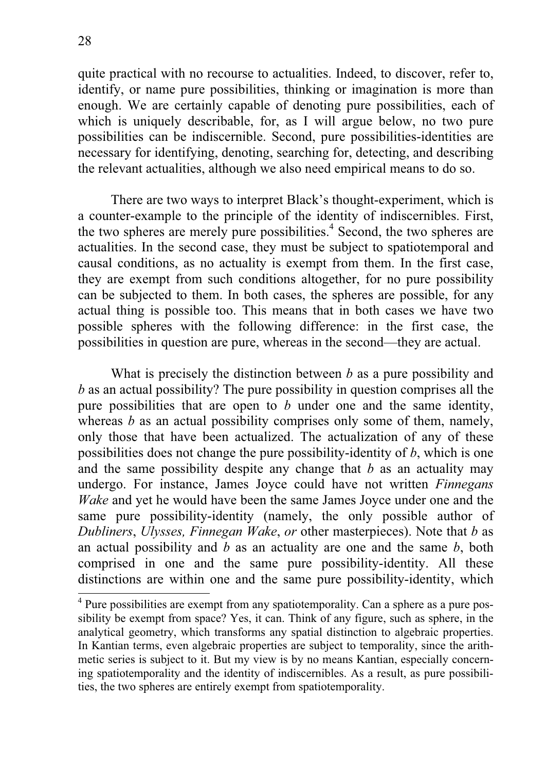quite practical with no recourse to actualities. Indeed, to discover, refer to, identify, or name pure possibilities, thinking or imagination is more than enough. We are certainly capable of denoting pure possibilities, each of which is uniquely describable, for, as I will argue below, no two pure possibilities can be indiscernible. Second, pure possibilities-identities are necessary for identifying, denoting, searching for, detecting, and describing the relevant actualities, although we also need empirical means to do so.

 There are two ways to interpret Black's thought-experiment, which is a counter-example to the principle of the identity of indiscernibles. First, the two spheres are merely pure possibilities.<sup>4</sup> Second, the two spheres are actualities. In the second case, they must be subject to spatiotemporal and causal conditions, as no actuality is exempt from them. In the first case, they are exempt from such conditions altogether, for no pure possibility can be subjected to them. In both cases, the spheres are possible, for any actual thing is possible too. This means that in both cases we have two possible spheres with the following difference: in the first case, the possibilities in question are pure, whereas in the second—they are actual.

 What is precisely the distinction between *b* as a pure possibility and *b* as an actual possibility? The pure possibility in question comprises all the pure possibilities that are open to *b* under one and the same identity, whereas *b* as an actual possibility comprises only some of them, namely, only those that have been actualized. The actualization of any of these possibilities does not change the pure possibility-identity of *b*, which is one and the same possibility despite any change that *b* as an actuality may undergo. For instance, James Joyce could have not written *Finnegans Wake* and yet he would have been the same James Joyce under one and the same pure possibility-identity (namely, the only possible author of *Dubliners*, *Ulysses, Finnegan Wake*, *or* other masterpieces). Note that *b* as an actual possibility and *b* as an actuality are one and the same *b*, both comprised in one and the same pure possibility-identity. All these distinctions are within one and the same pure possibility-identity, which

-

<sup>&</sup>lt;sup>4</sup> Pure possibilities are exempt from any spatiotemporality. Can a sphere as a pure possibility be exempt from space? Yes, it can. Think of any figure, such as sphere, in the analytical geometry, which transforms any spatial distinction to algebraic properties. In Kantian terms, even algebraic properties are subject to temporality, since the arithmetic series is subject to it. But my view is by no means Kantian, especially concerning spatiotemporality and the identity of indiscernibles. As a result, as pure possibilities, the two spheres are entirely exempt from spatiotemporality.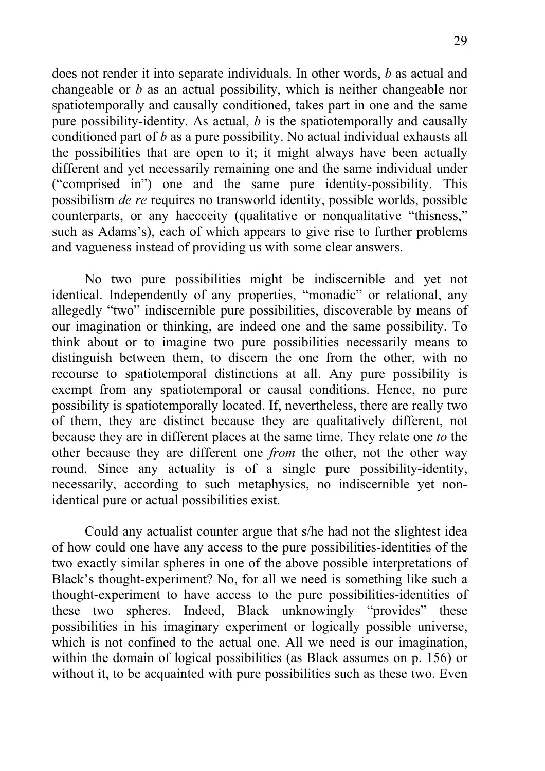does not render it into separate individuals. In other words, *b* as actual and changeable or *b* as an actual possibility, which is neither changeable nor spatiotemporally and causally conditioned, takes part in one and the same pure possibility-identity. As actual, *b* is the spatiotemporally and causally conditioned part of *b* as a pure possibility. No actual individual exhausts all the possibilities that are open to it; it might always have been actually different and yet necessarily remaining one and the same individual under ("comprised in") one and the same pure identity-possibility. This possibilism *de re* requires no transworld identity, possible worlds, possible counterparts, or any haecceity (qualitative or nonqualitative "thisness," such as Adams's), each of which appears to give rise to further problems and vagueness instead of providing us with some clear answers.

 No two pure possibilities might be indiscernible and yet not identical. Independently of any properties, "monadic" or relational, any allegedly "two" indiscernible pure possibilities, discoverable by means of our imagination or thinking, are indeed one and the same possibility. To think about or to imagine two pure possibilities necessarily means to distinguish between them, to discern the one from the other, with no recourse to spatiotemporal distinctions at all. Any pure possibility is exempt from any spatiotemporal or causal conditions. Hence, no pure possibility is spatiotemporally located. If, nevertheless, there are really two of them, they are distinct because they are qualitatively different, not because they are in different places at the same time. They relate one *to* the other because they are different one *from* the other, not the other way round. Since any actuality is of a single pure possibility-identity, necessarily, according to such metaphysics, no indiscernible yet nonidentical pure or actual possibilities exist.

 Could any actualist counter argue that s/he had not the slightest idea of how could one have any access to the pure possibilities-identities of the two exactly similar spheres in one of the above possible interpretations of Black's thought-experiment? No, for all we need is something like such a thought-experiment to have access to the pure possibilities-identities of these two spheres. Indeed, Black unknowingly "provides" these possibilities in his imaginary experiment or logically possible universe, which is not confined to the actual one. All we need is our imagination, within the domain of logical possibilities (as Black assumes on p. 156) or without it, to be acquainted with pure possibilities such as these two. Even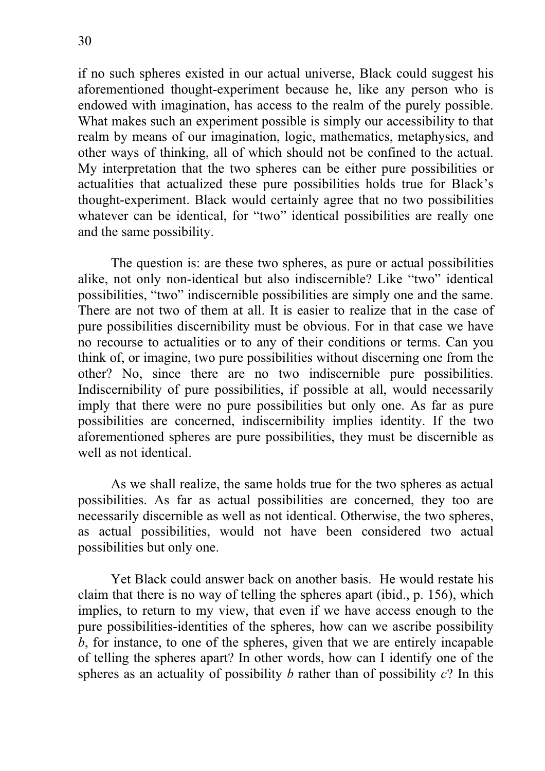if no such spheres existed in our actual universe, Black could suggest his aforementioned thought-experiment because he, like any person who is endowed with imagination, has access to the realm of the purely possible. What makes such an experiment possible is simply our accessibility to that realm by means of our imagination, logic, mathematics, metaphysics, and other ways of thinking, all of which should not be confined to the actual. My interpretation that the two spheres can be either pure possibilities or actualities that actualized these pure possibilities holds true for Black's thought-experiment. Black would certainly agree that no two possibilities whatever can be identical, for "two" identical possibilities are really one and the same possibility.

 The question is: are these two spheres, as pure or actual possibilities alike, not only non-identical but also indiscernible? Like "two" identical possibilities, "two" indiscernible possibilities are simply one and the same. There are not two of them at all. It is easier to realize that in the case of pure possibilities discernibility must be obvious. For in that case we have no recourse to actualities or to any of their conditions or terms. Can you think of, or imagine, two pure possibilities without discerning one from the other? No, since there are no two indiscernible pure possibilities. Indiscernibility of pure possibilities, if possible at all, would necessarily imply that there were no pure possibilities but only one. As far as pure possibilities are concerned, indiscernibility implies identity. If the two aforementioned spheres are pure possibilities, they must be discernible as well as not identical.

 As we shall realize, the same holds true for the two spheres as actual possibilities. As far as actual possibilities are concerned, they too are necessarily discernible as well as not identical. Otherwise, the two spheres, as actual possibilities, would not have been considered two actual possibilities but only one.

 Yet Black could answer back on another basis. He would restate his claim that there is no way of telling the spheres apart (ibid., p. 156), which implies, to return to my view, that even if we have access enough to the pure possibilities-identities of the spheres, how can we ascribe possibility *b*, for instance, to one of the spheres, given that we are entirely incapable of telling the spheres apart? In other words, how can I identify one of the spheres as an actuality of possibility *b* rather than of possibility *c*? In this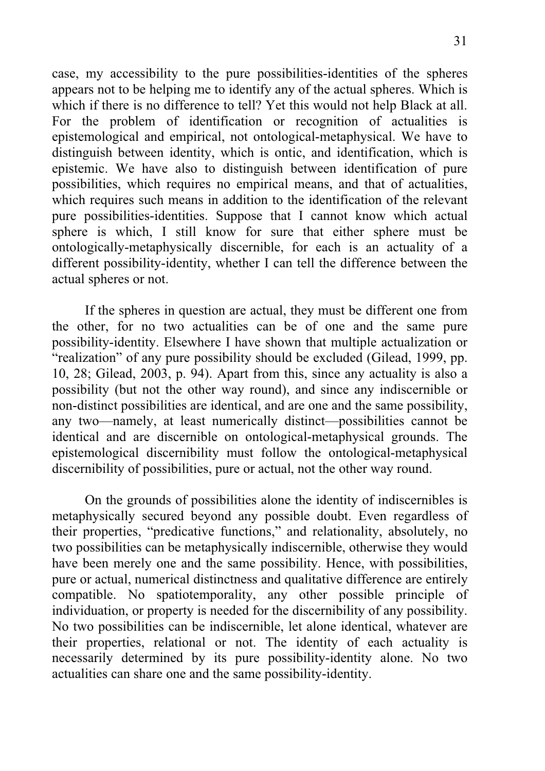case, my accessibility to the pure possibilities-identities of the spheres appears not to be helping me to identify any of the actual spheres. Which is which if there is no difference to tell? Yet this would not help Black at all. For the problem of identification or recognition of actualities is epistemological and empirical, not ontological-metaphysical. We have to distinguish between identity, which is ontic, and identification, which is epistemic. We have also to distinguish between identification of pure possibilities, which requires no empirical means, and that of actualities, which requires such means in addition to the identification of the relevant pure possibilities-identities. Suppose that I cannot know which actual sphere is which, I still know for sure that either sphere must be ontologically-metaphysically discernible, for each is an actuality of a different possibility-identity, whether I can tell the difference between the actual spheres or not.

 If the spheres in question are actual, they must be different one from the other, for no two actualities can be of one and the same pure possibility-identity. Elsewhere I have shown that multiple actualization or "realization" of any pure possibility should be excluded (Gilead, 1999, pp. 10, 28; Gilead, 2003, p. 94). Apart from this, since any actuality is also a possibility (but not the other way round), and since any indiscernible or non-distinct possibilities are identical, and are one and the same possibility, any two—namely, at least numerically distinct—possibilities cannot be identical and are discernible on ontological-metaphysical grounds. The epistemological discernibility must follow the ontological-metaphysical discernibility of possibilities, pure or actual, not the other way round.

 On the grounds of possibilities alone the identity of indiscernibles is metaphysically secured beyond any possible doubt. Even regardless of their properties, "predicative functions," and relationality, absolutely, no two possibilities can be metaphysically indiscernible, otherwise they would have been merely one and the same possibility. Hence, with possibilities, pure or actual, numerical distinctness and qualitative difference are entirely compatible. No spatiotemporality, any other possible principle of individuation, or property is needed for the discernibility of any possibility. No two possibilities can be indiscernible, let alone identical, whatever are their properties, relational or not. The identity of each actuality is necessarily determined by its pure possibility-identity alone. No two actualities can share one and the same possibility-identity.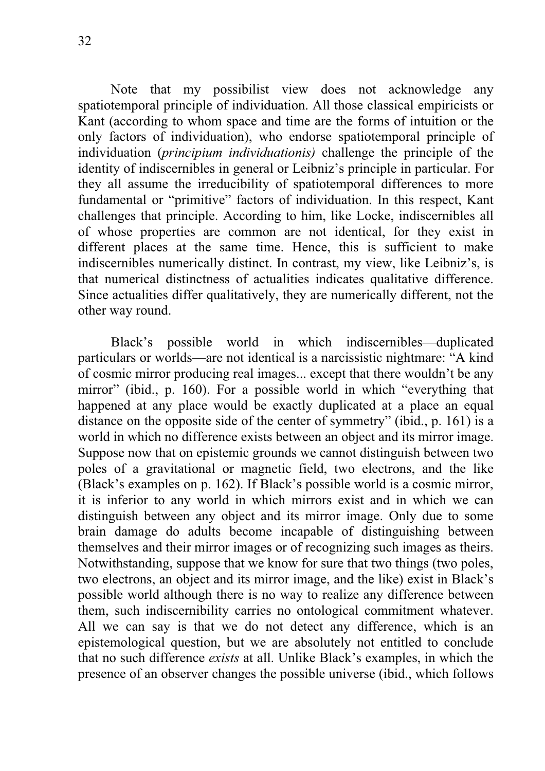Note that my possibilist view does not acknowledge any spatiotemporal principle of individuation. All those classical empiricists or Kant (according to whom space and time are the forms of intuition or the only factors of individuation), who endorse spatiotemporal principle of individuation (*principium individuationis)* challenge the principle of the identity of indiscernibles in general or Leibniz's principle in particular. For they all assume the irreducibility of spatiotemporal differences to more fundamental or "primitive" factors of individuation. In this respect, Kant challenges that principle. According to him, like Locke, indiscernibles all of whose properties are common are not identical, for they exist in different places at the same time. Hence, this is sufficient to make indiscernibles numerically distinct. In contrast, my view, like Leibniz's, is that numerical distinctness of actualities indicates qualitative difference. Since actualities differ qualitatively, they are numerically different, not the other way round.

 Black's possible world in which indiscernibles—duplicated particulars or worlds—are not identical is a narcissistic nightmare: "A kind of cosmic mirror producing real images... except that there wouldn't be any mirror" (ibid., p. 160). For a possible world in which "everything that happened at any place would be exactly duplicated at a place an equal distance on the opposite side of the center of symmetry" (ibid., p. 161) is a world in which no difference exists between an object and its mirror image. Suppose now that on epistemic grounds we cannot distinguish between two poles of a gravitational or magnetic field, two electrons, and the like (Black's examples on p. 162). If Black's possible world is a cosmic mirror, it is inferior to any world in which mirrors exist and in which we can distinguish between any object and its mirror image. Only due to some brain damage do adults become incapable of distinguishing between themselves and their mirror images or of recognizing such images as theirs. Notwithstanding, suppose that we know for sure that two things (two poles, two electrons, an object and its mirror image, and the like) exist in Black's possible world although there is no way to realize any difference between them, such indiscernibility carries no ontological commitment whatever. All we can say is that we do not detect any difference, which is an epistemological question, but we are absolutely not entitled to conclude that no such difference *exists* at all. Unlike Black's examples, in which the presence of an observer changes the possible universe (ibid., which follows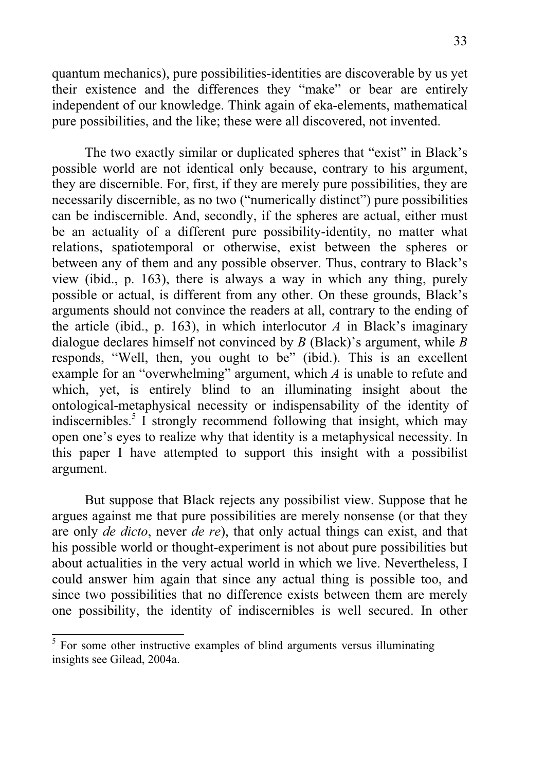quantum mechanics), pure possibilities-identities are discoverable by us yet their existence and the differences they "make" or bear are entirely independent of our knowledge. Think again of eka-elements, mathematical pure possibilities, and the like; these were all discovered, not invented.

 The two exactly similar or duplicated spheres that "exist" in Black's possible world are not identical only because, contrary to his argument, they are discernible. For, first, if they are merely pure possibilities, they are necessarily discernible, as no two ("numerically distinct") pure possibilities can be indiscernible. And, secondly, if the spheres are actual, either must be an actuality of a different pure possibility-identity, no matter what relations, spatiotemporal or otherwise, exist between the spheres or between any of them and any possible observer. Thus, contrary to Black's view (ibid., p. 163), there is always a way in which any thing, purely possible or actual, is different from any other. On these grounds, Black's arguments should not convince the readers at all, contrary to the ending of the article (ibid., p. 163), in which interlocutor *A* in Black's imaginary dialogue declares himself not convinced by *B* (Black)'s argument, while *B* responds, "Well, then, you ought to be" (ibid.). This is an excellent example for an "overwhelming" argument, which *A* is unable to refute and which, yet, is entirely blind to an illuminating insight about the ontological-metaphysical necessity or indispensability of the identity of indiscernibles.<sup>5</sup> I strongly recommend following that insight, which may open one's eyes to realize why that identity is a metaphysical necessity. In this paper I have attempted to support this insight with a possibilist argument.

 But suppose that Black rejects any possibilist view. Suppose that he argues against me that pure possibilities are merely nonsense (or that they are only *de dicto*, never *de re*), that only actual things can exist, and that his possible world or thought-experiment is not about pure possibilities but about actualities in the very actual world in which we live. Nevertheless, I could answer him again that since any actual thing is possible too, and since two possibilities that no difference exists between them are merely one possibility, the identity of indiscernibles is well secured. In other

<sup>&</sup>lt;sup>5</sup> For some other instructive examples of blind arguments versus illuminating insights see Gilead, 2004a.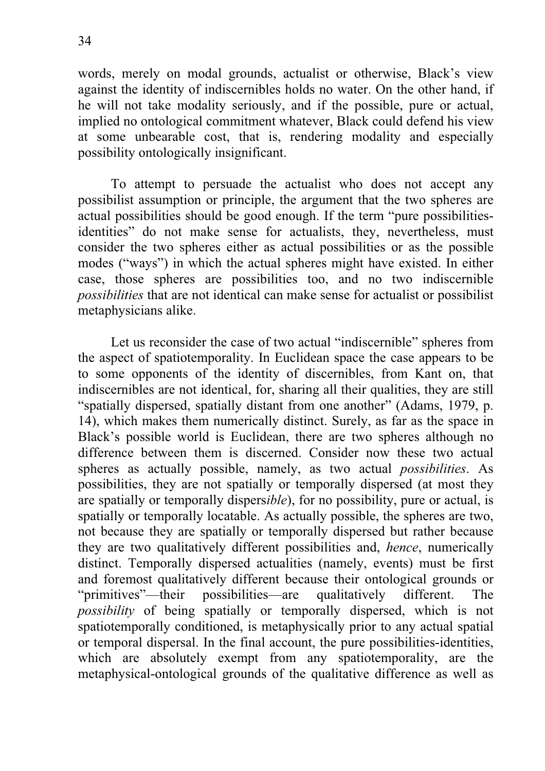words, merely on modal grounds, actualist or otherwise, Black's view against the identity of indiscernibles holds no water. On the other hand, if he will not take modality seriously, and if the possible, pure or actual, implied no ontological commitment whatever, Black could defend his view at some unbearable cost, that is, rendering modality and especially possibility ontologically insignificant.

 To attempt to persuade the actualist who does not accept any possibilist assumption or principle, the argument that the two spheres are actual possibilities should be good enough. If the term "pure possibilitiesidentities" do not make sense for actualists, they, nevertheless, must consider the two spheres either as actual possibilities or as the possible modes ("ways") in which the actual spheres might have existed. In either case, those spheres are possibilities too, and no two indiscernible *possibilities* that are not identical can make sense for actualist or possibilist metaphysicians alike.

 Let us reconsider the case of two actual "indiscernible" spheres from the aspect of spatiotemporality. In Euclidean space the case appears to be to some opponents of the identity of discernibles, from Kant on, that indiscernibles are not identical, for, sharing all their qualities, they are still "spatially dispersed, spatially distant from one another" (Adams, 1979, p. 14), which makes them numerically distinct. Surely, as far as the space in Black's possible world is Euclidean, there are two spheres although no difference between them is discerned. Consider now these two actual spheres as actually possible, namely, as two actual *possibilities*. As possibilities, they are not spatially or temporally dispersed (at most they are spatially or temporally dispers*ible*), for no possibility, pure or actual, is spatially or temporally locatable. As actually possible, the spheres are two, not because they are spatially or temporally dispersed but rather because they are two qualitatively different possibilities and, *hence*, numerically distinct. Temporally dispersed actualities (namely, events) must be first and foremost qualitatively different because their ontological grounds or "primitives"—their possibilities—are qualitatively different. The *possibility* of being spatially or temporally dispersed, which is not spatiotemporally conditioned, is metaphysically prior to any actual spatial or temporal dispersal. In the final account, the pure possibilities-identities, which are absolutely exempt from any spatiotemporality, are the metaphysical-ontological grounds of the qualitative difference as well as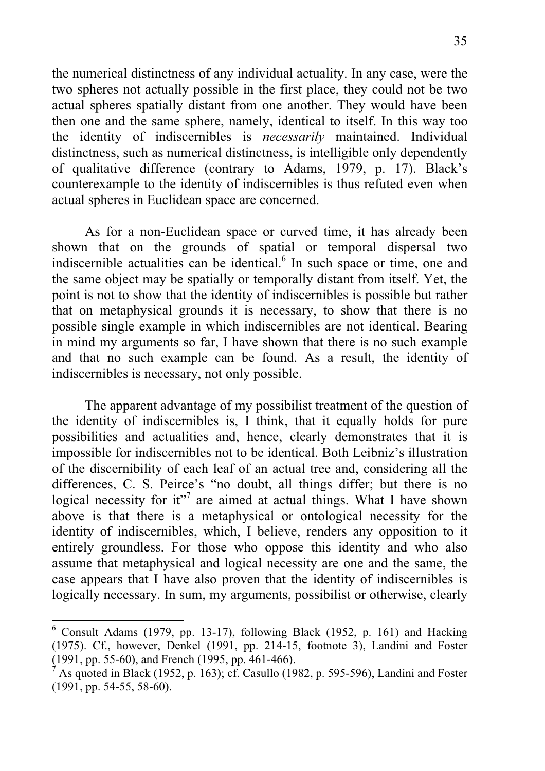the numerical distinctness of any individual actuality. In any case, were the two spheres not actually possible in the first place, they could not be two actual spheres spatially distant from one another. They would have been then one and the same sphere, namely, identical to itself. In this way too the identity of indiscernibles is *necessarily* maintained. Individual distinctness, such as numerical distinctness, is intelligible only dependently of qualitative difference (contrary to Adams, 1979, p. 17). Black's counterexample to the identity of indiscernibles is thus refuted even when actual spheres in Euclidean space are concerned.

 As for a non-Euclidean space or curved time, it has already been shown that on the grounds of spatial or temporal dispersal two indiscernible actualities can be identical.<sup>6</sup> In such space or time, one and the same object may be spatially or temporally distant from itself. Yet, the point is not to show that the identity of indiscernibles is possible but rather that on metaphysical grounds it is necessary, to show that there is no possible single example in which indiscernibles are not identical. Bearing in mind my arguments so far, I have shown that there is no such example and that no such example can be found. As a result, the identity of indiscernibles is necessary, not only possible.

 The apparent advantage of my possibilist treatment of the question of the identity of indiscernibles is, I think, that it equally holds for pure possibilities and actualities and, hence, clearly demonstrates that it is impossible for indiscernibles not to be identical. Both Leibniz's illustration of the discernibility of each leaf of an actual tree and, considering all the differences, C. S. Peirce's "no doubt, all things differ; but there is no logical necessity for it"<sup>7</sup> are aimed at actual things. What I have shown above is that there is a metaphysical or ontological necessity for the identity of indiscernibles, which, I believe, renders any opposition to it entirely groundless. For those who oppose this identity and who also assume that metaphysical and logical necessity are one and the same, the case appears that I have also proven that the identity of indiscernibles is logically necessary. In sum, my arguments, possibilist or otherwise, clearly

<sup>&</sup>lt;sup>6</sup> Consult Adams (1979, pp. 13-17), following Black (1952, p. 161) and Hacking (1975). Cf., however, Denkel (1991, pp. 214-15, footnote 3), Landini and Foster (1991, pp. 55-60), and French (1995, pp. 461-466).

<sup>7</sup> As quoted in Black (1952, p. 163); cf. Casullo (1982, p. 595-596), Landini and Foster (1991, pp. 54-55, 58-60).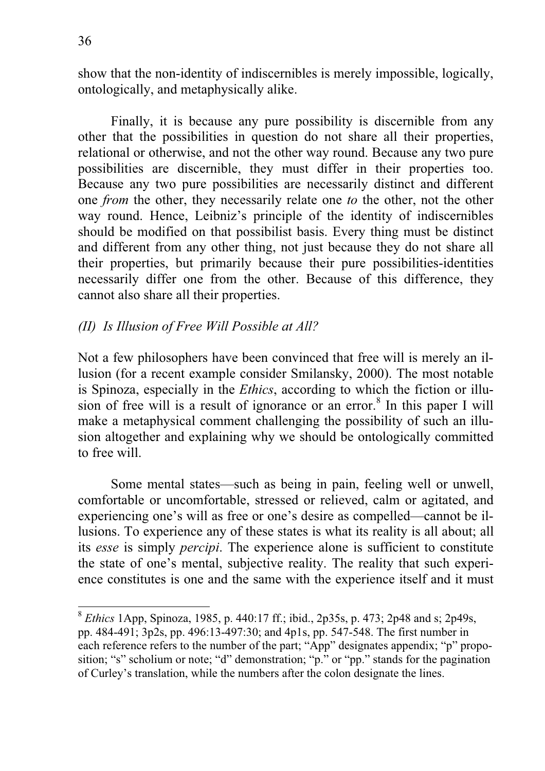show that the non-identity of indiscernibles is merely impossible, logically, ontologically, and metaphysically alike.

 Finally, it is because any pure possibility is discernible from any other that the possibilities in question do not share all their properties, relational or otherwise, and not the other way round. Because any two pure possibilities are discernible, they must differ in their properties too. Because any two pure possibilities are necessarily distinct and different one *from* the other, they necessarily relate one *to* the other, not the other way round. Hence, Leibniz's principle of the identity of indiscernibles should be modified on that possibilist basis. Every thing must be distinct and different from any other thing, not just because they do not share all their properties, but primarily because their pure possibilities-identities necessarily differ one from the other. Because of this difference, they cannot also share all their properties.

## *(II) Is Illusion of Free Will Possible at All?*

Not a few philosophers have been convinced that free will is merely an illusion (for a recent example consider Smilansky, 2000). The most notable is Spinoza, especially in the *Ethics*, according to which the fiction or illusion of free will is a result of ignorance or an error.<sup>8</sup> In this paper I will make a metaphysical comment challenging the possibility of such an illusion altogether and explaining why we should be ontologically committed to free will.

Some mental states—such as being in pain, feeling well or unwell, comfortable or uncomfortable, stressed or relieved, calm or agitated, and experiencing one's will as free or one's desire as compelled—cannot be illusions. To experience any of these states is what its reality is all about; all its *esse* is simply *percipi*. The experience alone is sufficient to constitute the state of one's mental, subjective reality. The reality that such experience constitutes is one and the same with the experience itself and it must

-

<sup>8</sup> *Ethics* 1App, Spinoza, 1985, p. 440:17 ff.; ibid., 2p35s, p. 473; 2p48 and s; 2p49s, pp. 484-491; 3p2s, pp. 496:13-497:30; and 4p1s, pp. 547-548. The first number in each reference refers to the number of the part; "App" designates appendix; "p" proposition; "s" scholium or note; "d" demonstration; "p." or "pp." stands for the pagination of Curley's translation, while the numbers after the colon designate the lines.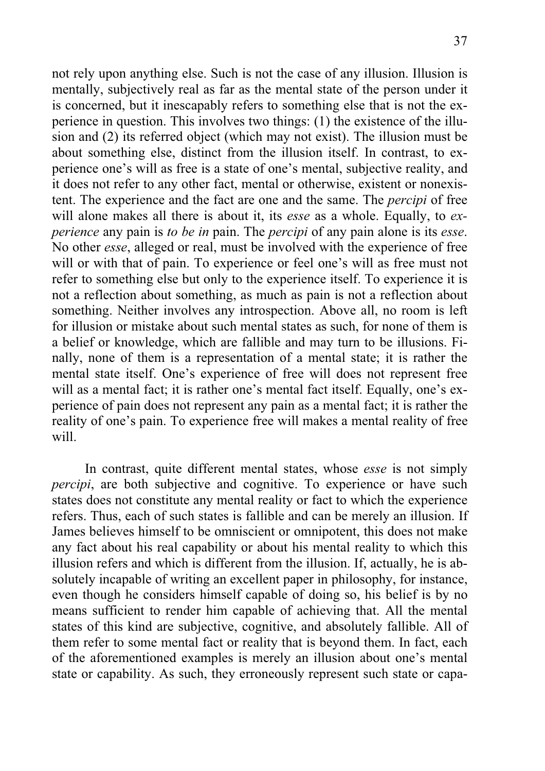not rely upon anything else. Such is not the case of any illusion. Illusion is mentally, subjectively real as far as the mental state of the person under it is concerned, but it inescapably refers to something else that is not the experience in question. This involves two things: (1) the existence of the illusion and (2) its referred object (which may not exist). The illusion must be about something else, distinct from the illusion itself. In contrast, to experience one's will as free is a state of one's mental, subjective reality, and it does not refer to any other fact, mental or otherwise, existent or nonexistent. The experience and the fact are one and the same. The *percipi* of free will alone makes all there is about it, its *esse* as a whole. Equally, to *experience* any pain is *to be in* pain. The *percipi* of any pain alone is its *esse*. No other *esse*, alleged or real, must be involved with the experience of free will or with that of pain. To experience or feel one's will as free must not refer to something else but only to the experience itself. To experience it is not a reflection about something, as much as pain is not a reflection about something. Neither involves any introspection. Above all, no room is left for illusion or mistake about such mental states as such, for none of them is a belief or knowledge, which are fallible and may turn to be illusions. Finally, none of them is a representation of a mental state; it is rather the mental state itself. One's experience of free will does not represent free will as a mental fact; it is rather one's mental fact itself. Equally, one's experience of pain does not represent any pain as a mental fact; it is rather the reality of one's pain. To experience free will makes a mental reality of free will.

In contrast, quite different mental states, whose *esse* is not simply *percipi*, are both subjective and cognitive. To experience or have such states does not constitute any mental reality or fact to which the experience refers. Thus, each of such states is fallible and can be merely an illusion. If James believes himself to be omniscient or omnipotent, this does not make any fact about his real capability or about his mental reality to which this illusion refers and which is different from the illusion. If, actually, he is absolutely incapable of writing an excellent paper in philosophy, for instance, even though he considers himself capable of doing so, his belief is by no means sufficient to render him capable of achieving that. All the mental states of this kind are subjective, cognitive, and absolutely fallible. All of them refer to some mental fact or reality that is beyond them. In fact, each of the aforementioned examples is merely an illusion about one's mental state or capability. As such, they erroneously represent such state or capa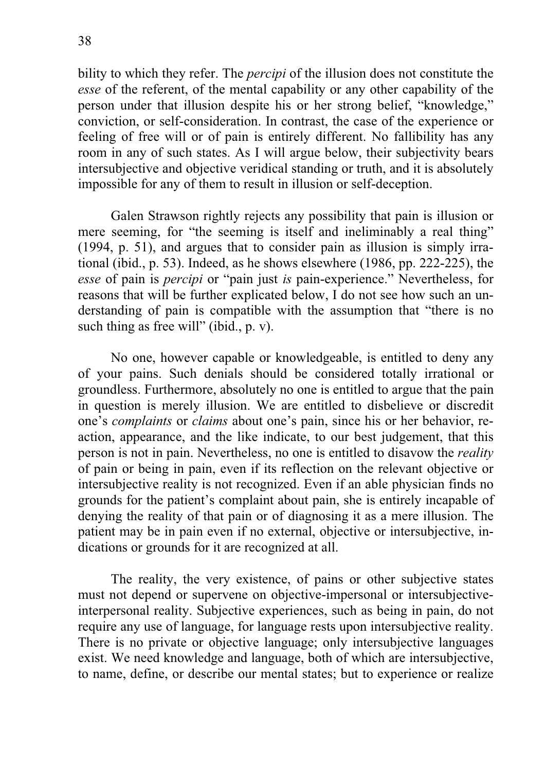bility to which they refer. The *percipi* of the illusion does not constitute the *esse* of the referent, of the mental capability or any other capability of the person under that illusion despite his or her strong belief, "knowledge," conviction, or self-consideration. In contrast, the case of the experience or feeling of free will or of pain is entirely different. No fallibility has any room in any of such states. As I will argue below, their subjectivity bears intersubjective and objective veridical standing or truth, and it is absolutely impossible for any of them to result in illusion or self-deception.

Galen Strawson rightly rejects any possibility that pain is illusion or mere seeming, for "the seeming is itself and ineliminably a real thing" (1994, p. 51), and argues that to consider pain as illusion is simply irrational (ibid., p. 53). Indeed, as he shows elsewhere (1986, pp. 222-225), the *esse* of pain is *percipi* or "pain just *is* pain-experience." Nevertheless, for reasons that will be further explicated below, I do not see how such an understanding of pain is compatible with the assumption that "there is no such thing as free will" (ibid., p. v).

No one, however capable or knowledgeable, is entitled to deny any of your pains. Such denials should be considered totally irrational or groundless. Furthermore, absolutely no one is entitled to argue that the pain in question is merely illusion. We are entitled to disbelieve or discredit one's *complaints* or *claims* about one's pain, since his or her behavior, reaction, appearance, and the like indicate, to our best judgement, that this person is not in pain. Nevertheless, no one is entitled to disavow the *reality* of pain or being in pain, even if its reflection on the relevant objective or intersubjective reality is not recognized. Even if an able physician finds no grounds for the patient's complaint about pain, she is entirely incapable of denying the reality of that pain or of diagnosing it as a mere illusion. The patient may be in pain even if no external, objective or intersubjective, indications or grounds for it are recognized at all.

The reality, the very existence, of pains or other subjective states must not depend or supervene on objective-impersonal or intersubjectiveinterpersonal reality. Subjective experiences, such as being in pain, do not require any use of language, for language rests upon intersubjective reality. There is no private or objective language; only intersubjective languages exist. We need knowledge and language, both of which are intersubjective, to name, define, or describe our mental states; but to experience or realize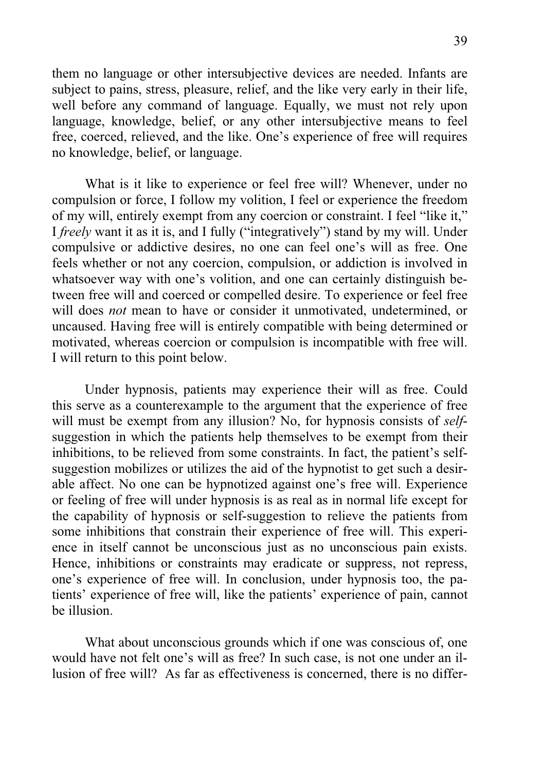them no language or other intersubjective devices are needed. Infants are subject to pains, stress, pleasure, relief, and the like very early in their life, well before any command of language. Equally, we must not rely upon language, knowledge, belief, or any other intersubjective means to feel free, coerced, relieved, and the like. One's experience of free will requires no knowledge, belief, or language.

What is it like to experience or feel free will? Whenever, under no compulsion or force, I follow my volition, I feel or experience the freedom of my will, entirely exempt from any coercion or constraint. I feel "like it," I *freely* want it as it is, and I fully ("integratively") stand by my will. Under compulsive or addictive desires, no one can feel one's will as free. One feels whether or not any coercion, compulsion, or addiction is involved in whatsoever way with one's volition, and one can certainly distinguish between free will and coerced or compelled desire. To experience or feel free will does *not* mean to have or consider it unmotivated, undetermined, or uncaused. Having free will is entirely compatible with being determined or motivated, whereas coercion or compulsion is incompatible with free will. I will return to this point below.

Under hypnosis, patients may experience their will as free. Could this serve as a counterexample to the argument that the experience of free will must be exempt from any illusion? No, for hypnosis consists of *self*suggestion in which the patients help themselves to be exempt from their inhibitions, to be relieved from some constraints. In fact, the patient's selfsuggestion mobilizes or utilizes the aid of the hypnotist to get such a desirable affect. No one can be hypnotized against one's free will. Experience or feeling of free will under hypnosis is as real as in normal life except for the capability of hypnosis or self-suggestion to relieve the patients from some inhibitions that constrain their experience of free will. This experience in itself cannot be unconscious just as no unconscious pain exists. Hence, inhibitions or constraints may eradicate or suppress, not repress, one's experience of free will. In conclusion, under hypnosis too, the patients' experience of free will, like the patients' experience of pain, cannot be illusion.

What about unconscious grounds which if one was conscious of, one would have not felt one's will as free? In such case, is not one under an illusion of free will? As far as effectiveness is concerned, there is no differ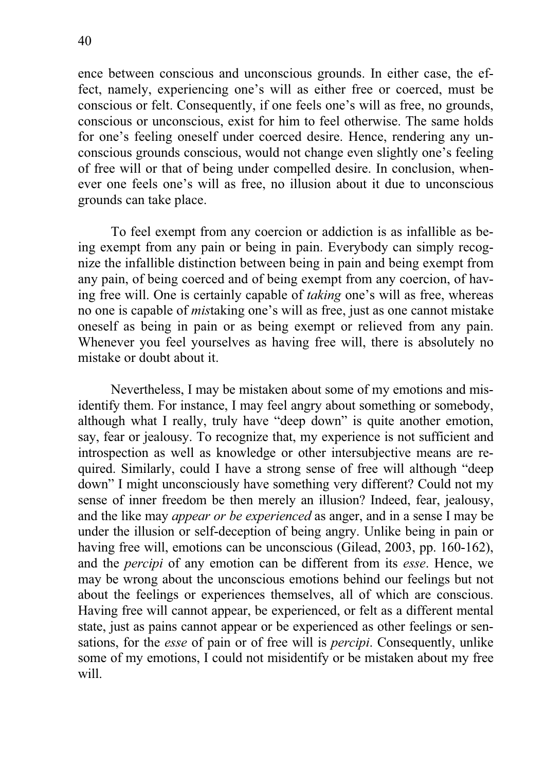ence between conscious and unconscious grounds. In either case, the effect, namely, experiencing one's will as either free or coerced, must be conscious or felt. Consequently, if one feels one's will as free, no grounds, conscious or unconscious, exist for him to feel otherwise. The same holds for one's feeling oneself under coerced desire. Hence, rendering any unconscious grounds conscious, would not change even slightly one's feeling of free will or that of being under compelled desire. In conclusion, whenever one feels one's will as free, no illusion about it due to unconscious grounds can take place.

To feel exempt from any coercion or addiction is as infallible as being exempt from any pain or being in pain. Everybody can simply recognize the infallible distinction between being in pain and being exempt from any pain, of being coerced and of being exempt from any coercion, of having free will. One is certainly capable of *taking* one's will as free, whereas no one is capable of *mis*taking one's will as free, just as one cannot mistake oneself as being in pain or as being exempt or relieved from any pain. Whenever you feel yourselves as having free will, there is absolutely no mistake or doubt about it.

Nevertheless, I may be mistaken about some of my emotions and misidentify them. For instance, I may feel angry about something or somebody, although what I really, truly have "deep down" is quite another emotion, say, fear or jealousy. To recognize that, my experience is not sufficient and introspection as well as knowledge or other intersubjective means are required. Similarly, could I have a strong sense of free will although "deep down" I might unconsciously have something very different? Could not my sense of inner freedom be then merely an illusion? Indeed, fear, jealousy, and the like may *appear or be experienced* as anger, and in a sense I may be under the illusion or self-deception of being angry. Unlike being in pain or having free will, emotions can be unconscious (Gilead, 2003, pp. 160-162), and the *percipi* of any emotion can be different from its *esse*. Hence, we may be wrong about the unconscious emotions behind our feelings but not about the feelings or experiences themselves, all of which are conscious. Having free will cannot appear, be experienced, or felt as a different mental state, just as pains cannot appear or be experienced as other feelings or sensations, for the *esse* of pain or of free will is *percipi*. Consequently, unlike some of my emotions, I could not misidentify or be mistaken about my free will.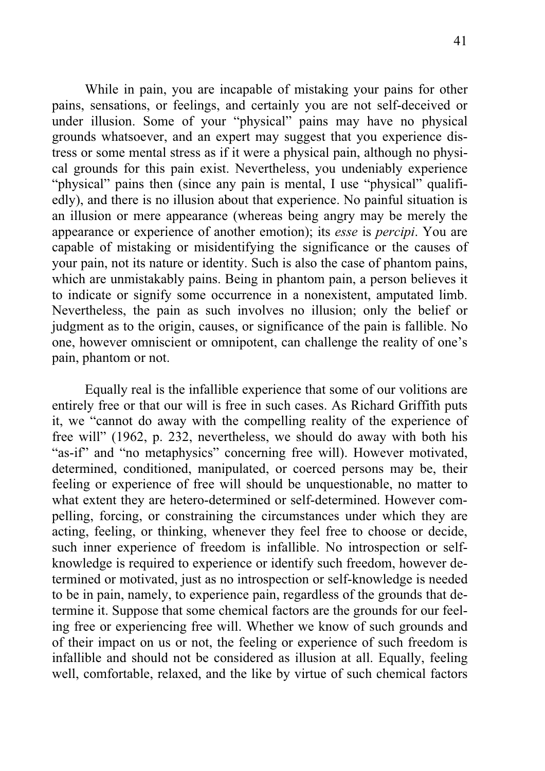While in pain, you are incapable of mistaking your pains for other pains, sensations, or feelings, and certainly you are not self-deceived or under illusion. Some of your "physical" pains may have no physical grounds whatsoever, and an expert may suggest that you experience distress or some mental stress as if it were a physical pain, although no physical grounds for this pain exist. Nevertheless, you undeniably experience "physical" pains then (since any pain is mental, I use "physical" qualifiedly), and there is no illusion about that experience. No painful situation is an illusion or mere appearance (whereas being angry may be merely the appearance or experience of another emotion); its *esse* is *percipi*. You are capable of mistaking or misidentifying the significance or the causes of your pain, not its nature or identity. Such is also the case of phantom pains, which are unmistakably pains. Being in phantom pain, a person believes it to indicate or signify some occurrence in a nonexistent, amputated limb. Nevertheless, the pain as such involves no illusion; only the belief or judgment as to the origin, causes, or significance of the pain is fallible. No one, however omniscient or omnipotent, can challenge the reality of one's pain, phantom or not.

Equally real is the infallible experience that some of our volitions are entirely free or that our will is free in such cases. As Richard Griffith puts it, we "cannot do away with the compelling reality of the experience of free will" (1962, p. 232, nevertheless, we should do away with both his "as-if" and "no metaphysics" concerning free will). However motivated, determined, conditioned, manipulated, or coerced persons may be, their feeling or experience of free will should be unquestionable, no matter to what extent they are hetero-determined or self-determined. However compelling, forcing, or constraining the circumstances under which they are acting, feeling, or thinking, whenever they feel free to choose or decide, such inner experience of freedom is infallible. No introspection or selfknowledge is required to experience or identify such freedom, however determined or motivated, just as no introspection or self-knowledge is needed to be in pain, namely, to experience pain, regardless of the grounds that determine it. Suppose that some chemical factors are the grounds for our feeling free or experiencing free will. Whether we know of such grounds and of their impact on us or not, the feeling or experience of such freedom is infallible and should not be considered as illusion at all. Equally, feeling well, comfortable, relaxed, and the like by virtue of such chemical factors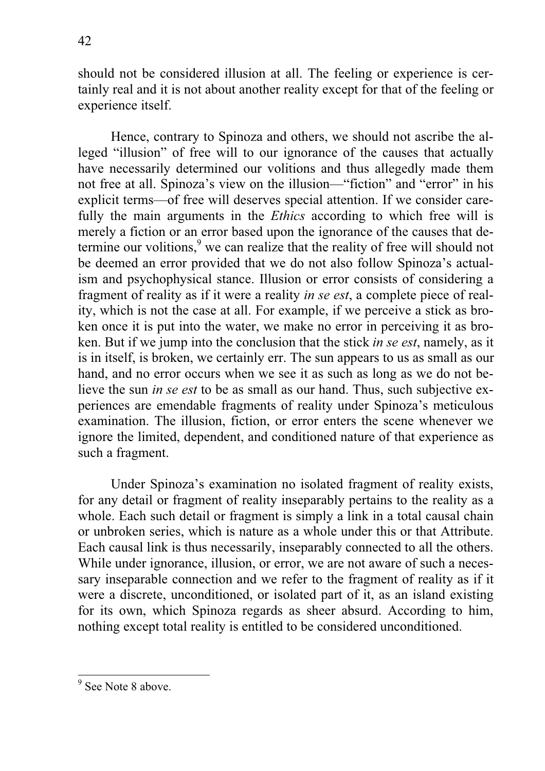should not be considered illusion at all. The feeling or experience is certainly real and it is not about another reality except for that of the feeling or experience itself.

Hence, contrary to Spinoza and others, we should not ascribe the alleged "illusion" of free will to our ignorance of the causes that actually have necessarily determined our volitions and thus allegedly made them not free at all. Spinoza's view on the illusion—"fiction" and "error" in his explicit terms—of free will deserves special attention. If we consider carefully the main arguments in the *Ethics* according to which free will is merely a fiction or an error based upon the ignorance of the causes that determine our volitions,  $9$  we can realize that the reality of free will should not be deemed an error provided that we do not also follow Spinoza's actualism and psychophysical stance. Illusion or error consists of considering a fragment of reality as if it were a reality *in se est*, a complete piece of reality, which is not the case at all. For example, if we perceive a stick as broken once it is put into the water, we make no error in perceiving it as broken. But if we jump into the conclusion that the stick *in se est*, namely, as it is in itself, is broken, we certainly err. The sun appears to us as small as our hand, and no error occurs when we see it as such as long as we do not believe the sun *in se est* to be as small as our hand. Thus, such subjective experiences are emendable fragments of reality under Spinoza's meticulous examination. The illusion, fiction, or error enters the scene whenever we ignore the limited, dependent, and conditioned nature of that experience as such a fragment.

Under Spinoza's examination no isolated fragment of reality exists, for any detail or fragment of reality inseparably pertains to the reality as a whole. Each such detail or fragment is simply a link in a total causal chain or unbroken series, which is nature as a whole under this or that Attribute. Each causal link is thus necessarily, inseparably connected to all the others. While under ignorance, illusion, or error, we are not aware of such a necessary inseparable connection and we refer to the fragment of reality as if it were a discrete, unconditioned, or isolated part of it, as an island existing for its own, which Spinoza regards as sheer absurd. According to him, nothing except total reality is entitled to be considered unconditioned.

42

 $\overline{a}$ 

<sup>&</sup>lt;sup>9</sup> See Note 8 above.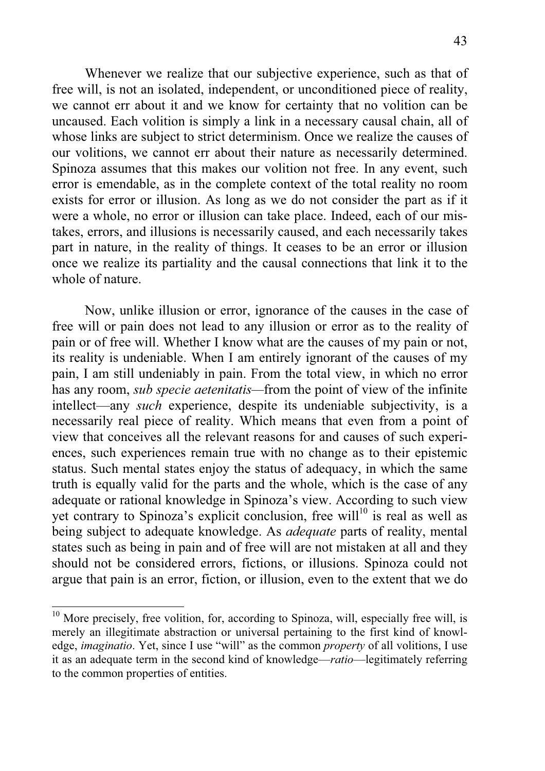Whenever we realize that our subjective experience, such as that of free will, is not an isolated, independent, or unconditioned piece of reality, we cannot err about it and we know for certainty that no volition can be uncaused. Each volition is simply a link in a necessary causal chain, all of whose links are subject to strict determinism. Once we realize the causes of our volitions, we cannot err about their nature as necessarily determined. Spinoza assumes that this makes our volition not free. In any event, such error is emendable, as in the complete context of the total reality no room exists for error or illusion. As long as we do not consider the part as if it were a whole, no error or illusion can take place. Indeed, each of our mistakes, errors, and illusions is necessarily caused, and each necessarily takes part in nature, in the reality of things. It ceases to be an error or illusion once we realize its partiality and the causal connections that link it to the whole of nature.

Now, unlike illusion or error, ignorance of the causes in the case of free will or pain does not lead to any illusion or error as to the reality of pain or of free will. Whether I know what are the causes of my pain or not, its reality is undeniable. When I am entirely ignorant of the causes of my pain, I am still undeniably in pain. From the total view, in which no error has any room, *sub specie aetenitatis—*from the point of view of the infinite intellect—any *such* experience, despite its undeniable subjectivity, is a necessarily real piece of reality. Which means that even from a point of view that conceives all the relevant reasons for and causes of such experiences, such experiences remain true with no change as to their epistemic status. Such mental states enjoy the status of adequacy, in which the same truth is equally valid for the parts and the whole, which is the case of any adequate or rational knowledge in Spinoza's view. According to such view yet contrary to Spinoza's explicit conclusion, free will<sup>10</sup> is real as well as being subject to adequate knowledge. As *adequate* parts of reality, mental states such as being in pain and of free will are not mistaken at all and they should not be considered errors, fictions, or illusions. Spinoza could not argue that pain is an error, fiction, or illusion, even to the extent that we do

 $\overline{a}$ 

 $10$  More precisely, free volition, for, according to Spinoza, will, especially free will, is merely an illegitimate abstraction or universal pertaining to the first kind of knowledge, *imaginatio*. Yet, since I use "will" as the common *property* of all volitions, I use it as an adequate term in the second kind of knowledge—*ratio*—legitimately referring to the common properties of entities.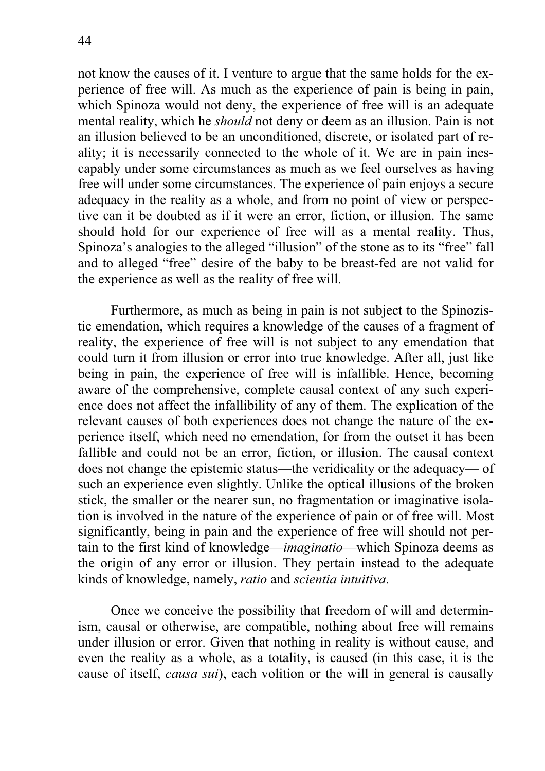not know the causes of it. I venture to argue that the same holds for the experience of free will. As much as the experience of pain is being in pain, which Spinoza would not deny, the experience of free will is an adequate mental reality, which he *should* not deny or deem as an illusion. Pain is not an illusion believed to be an unconditioned, discrete, or isolated part of reality; it is necessarily connected to the whole of it. We are in pain inescapably under some circumstances as much as we feel ourselves as having free will under some circumstances. The experience of pain enjoys a secure adequacy in the reality as a whole, and from no point of view or perspective can it be doubted as if it were an error, fiction, or illusion. The same should hold for our experience of free will as a mental reality. Thus, Spinoza's analogies to the alleged "illusion" of the stone as to its "free" fall and to alleged "free" desire of the baby to be breast-fed are not valid for the experience as well as the reality of free will.

Furthermore, as much as being in pain is not subject to the Spinozistic emendation, which requires a knowledge of the causes of a fragment of reality, the experience of free will is not subject to any emendation that could turn it from illusion or error into true knowledge. After all, just like being in pain, the experience of free will is infallible. Hence, becoming aware of the comprehensive, complete causal context of any such experience does not affect the infallibility of any of them. The explication of the relevant causes of both experiences does not change the nature of the experience itself, which need no emendation, for from the outset it has been fallible and could not be an error, fiction, or illusion. The causal context does not change the epistemic status—the veridicality or the adequacy— of such an experience even slightly. Unlike the optical illusions of the broken stick, the smaller or the nearer sun, no fragmentation or imaginative isolation is involved in the nature of the experience of pain or of free will. Most significantly, being in pain and the experience of free will should not pertain to the first kind of knowledge—*imaginatio*—which Spinoza deems as the origin of any error or illusion. They pertain instead to the adequate kinds of knowledge, namely, *ratio* and *scientia intuitiva*.

Once we conceive the possibility that freedom of will and determinism, causal or otherwise, are compatible, nothing about free will remains under illusion or error. Given that nothing in reality is without cause, and even the reality as a whole, as a totality, is caused (in this case, it is the cause of itself, *causa sui*), each volition or the will in general is causally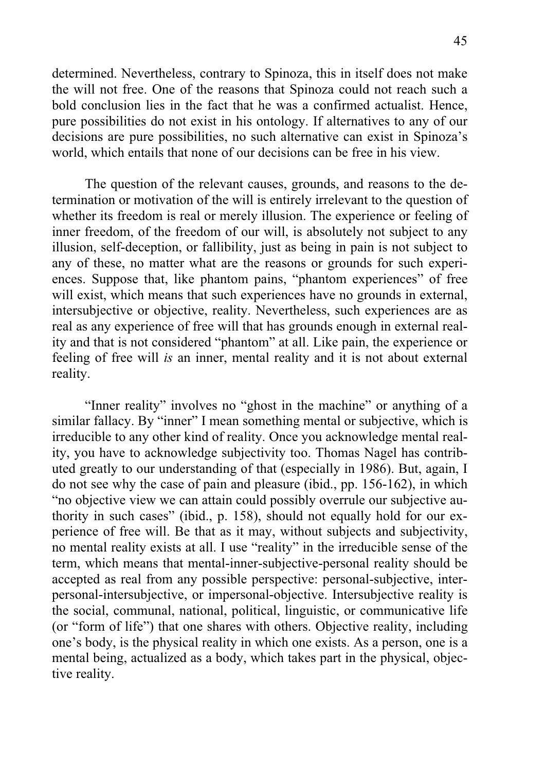determined. Nevertheless, contrary to Spinoza, this in itself does not make the will not free. One of the reasons that Spinoza could not reach such a bold conclusion lies in the fact that he was a confirmed actualist. Hence, pure possibilities do not exist in his ontology. If alternatives to any of our decisions are pure possibilities, no such alternative can exist in Spinoza's world, which entails that none of our decisions can be free in his view.

The question of the relevant causes, grounds, and reasons to the determination or motivation of the will is entirely irrelevant to the question of whether its freedom is real or merely illusion. The experience or feeling of inner freedom, of the freedom of our will, is absolutely not subject to any illusion, self-deception, or fallibility, just as being in pain is not subject to any of these, no matter what are the reasons or grounds for such experiences. Suppose that, like phantom pains, "phantom experiences" of free will exist, which means that such experiences have no grounds in external, intersubjective or objective, reality. Nevertheless, such experiences are as real as any experience of free will that has grounds enough in external reality and that is not considered "phantom" at all. Like pain, the experience or feeling of free will *is* an inner, mental reality and it is not about external reality.

"Inner reality" involves no "ghost in the machine" or anything of a similar fallacy. By "inner" I mean something mental or subjective, which is irreducible to any other kind of reality. Once you acknowledge mental reality, you have to acknowledge subjectivity too. Thomas Nagel has contributed greatly to our understanding of that (especially in 1986). But, again, I do not see why the case of pain and pleasure (ibid., pp. 156-162), in which "no objective view we can attain could possibly overrule our subjective authority in such cases" (ibid., p. 158), should not equally hold for our experience of free will. Be that as it may, without subjects and subjectivity, no mental reality exists at all. I use "reality" in the irreducible sense of the term, which means that mental-inner-subjective-personal reality should be accepted as real from any possible perspective: personal-subjective, interpersonal-intersubjective, or impersonal-objective. Intersubjective reality is the social, communal, national, political, linguistic, or communicative life (or "form of life") that one shares with others. Objective reality, including one's body, is the physical reality in which one exists. As a person, one is a mental being, actualized as a body, which takes part in the physical, objective reality.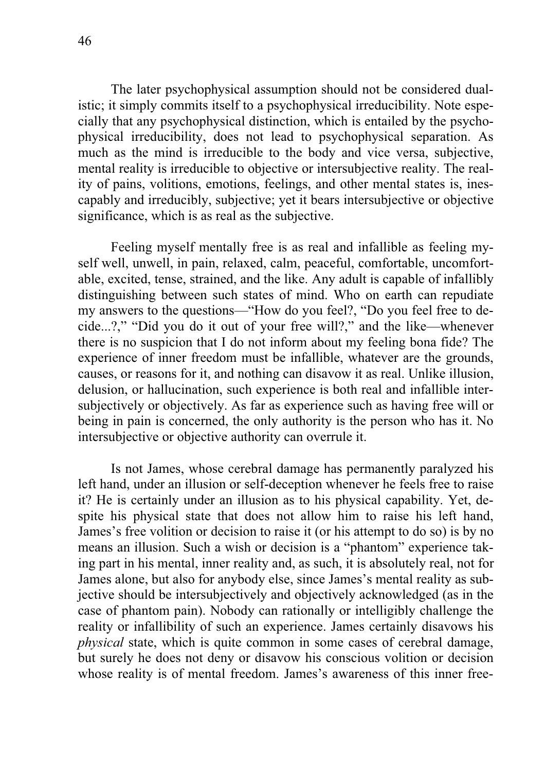The later psychophysical assumption should not be considered dualistic; it simply commits itself to a psychophysical irreducibility. Note especially that any psychophysical distinction, which is entailed by the psychophysical irreducibility, does not lead to psychophysical separation. As much as the mind is irreducible to the body and vice versa, subjective, mental reality is irreducible to objective or intersubjective reality. The reality of pains, volitions, emotions, feelings, and other mental states is, inescapably and irreducibly, subjective; yet it bears intersubjective or objective significance, which is as real as the subjective.

Feeling myself mentally free is as real and infallible as feeling myself well, unwell, in pain, relaxed, calm, peaceful, comfortable, uncomfortable, excited, tense, strained, and the like. Any adult is capable of infallibly distinguishing between such states of mind. Who on earth can repudiate my answers to the questions—"How do you feel?, "Do you feel free to decide...?," "Did you do it out of your free will?," and the like—whenever there is no suspicion that I do not inform about my feeling bona fide? The experience of inner freedom must be infallible, whatever are the grounds, causes, or reasons for it, and nothing can disavow it as real. Unlike illusion, delusion, or hallucination, such experience is both real and infallible intersubjectively or objectively. As far as experience such as having free will or being in pain is concerned, the only authority is the person who has it. No intersubjective or objective authority can overrule it.

Is not James, whose cerebral damage has permanently paralyzed his left hand, under an illusion or self-deception whenever he feels free to raise it? He is certainly under an illusion as to his physical capability. Yet, despite his physical state that does not allow him to raise his left hand, James's free volition or decision to raise it (or his attempt to do so) is by no means an illusion. Such a wish or decision is a "phantom" experience taking part in his mental, inner reality and, as such, it is absolutely real, not for James alone, but also for anybody else, since James's mental reality as subjective should be intersubjectively and objectively acknowledged (as in the case of phantom pain). Nobody can rationally or intelligibly challenge the reality or infallibility of such an experience. James certainly disavows his *physical* state, which is quite common in some cases of cerebral damage, but surely he does not deny or disavow his conscious volition or decision whose reality is of mental freedom. James's awareness of this inner free-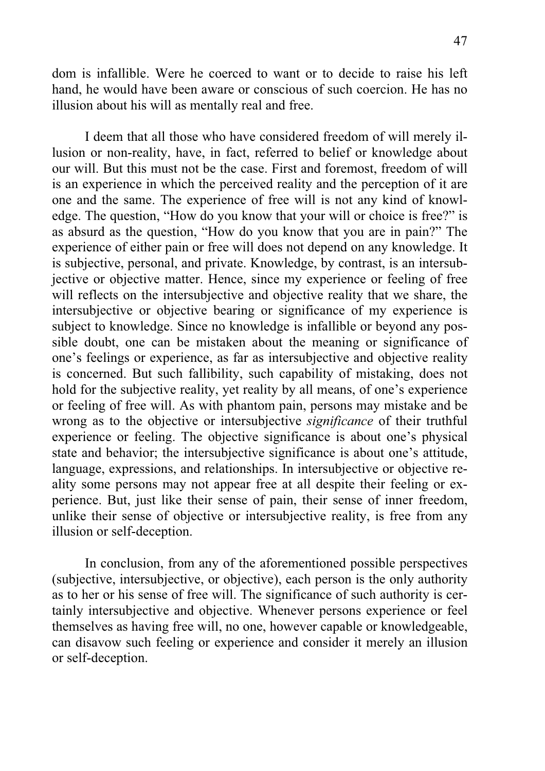dom is infallible. Were he coerced to want or to decide to raise his left hand, he would have been aware or conscious of such coercion. He has no illusion about his will as mentally real and free.

I deem that all those who have considered freedom of will merely illusion or non-reality, have, in fact, referred to belief or knowledge about our will. But this must not be the case. First and foremost, freedom of will is an experience in which the perceived reality and the perception of it are one and the same. The experience of free will is not any kind of knowledge. The question, "How do you know that your will or choice is free?" is as absurd as the question, "How do you know that you are in pain?" The experience of either pain or free will does not depend on any knowledge. It is subjective, personal, and private. Knowledge, by contrast, is an intersubjective or objective matter. Hence, since my experience or feeling of free will reflects on the intersubjective and objective reality that we share, the intersubjective or objective bearing or significance of my experience is subject to knowledge. Since no knowledge is infallible or beyond any possible doubt, one can be mistaken about the meaning or significance of one's feelings or experience, as far as intersubjective and objective reality is concerned. But such fallibility, such capability of mistaking, does not hold for the subjective reality, yet reality by all means, of one's experience or feeling of free will. As with phantom pain, persons may mistake and be wrong as to the objective or intersubjective *significance* of their truthful experience or feeling. The objective significance is about one's physical state and behavior; the intersubjective significance is about one's attitude, language, expressions, and relationships. In intersubjective or objective reality some persons may not appear free at all despite their feeling or experience. But, just like their sense of pain, their sense of inner freedom, unlike their sense of objective or intersubjective reality, is free from any illusion or self-deception.

In conclusion, from any of the aforementioned possible perspectives (subjective, intersubjective, or objective), each person is the only authority as to her or his sense of free will. The significance of such authority is certainly intersubjective and objective. Whenever persons experience or feel themselves as having free will, no one, however capable or knowledgeable, can disavow such feeling or experience and consider it merely an illusion or self-deception.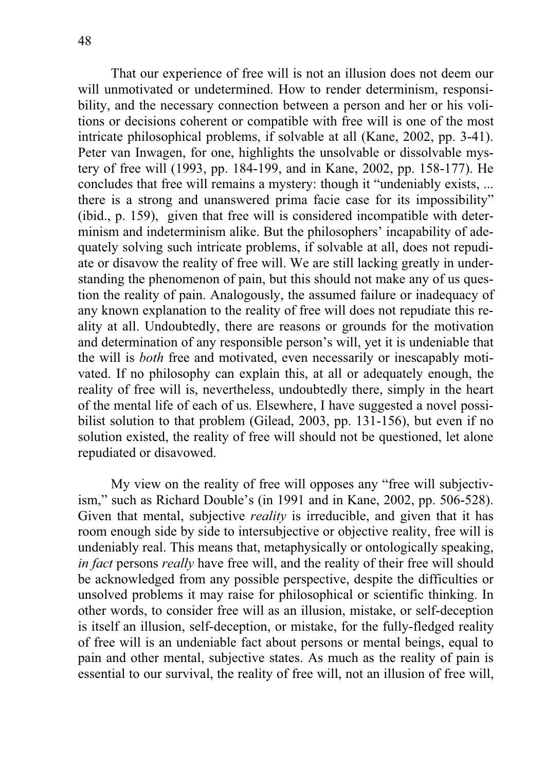That our experience of free will is not an illusion does not deem our will unmotivated or undetermined. How to render determinism, responsibility, and the necessary connection between a person and her or his volitions or decisions coherent or compatible with free will is one of the most intricate philosophical problems, if solvable at all (Kane, 2002, pp. 3-41). Peter van Inwagen, for one, highlights the unsolvable or dissolvable mystery of free will (1993, pp. 184-199, and in Kane, 2002, pp. 158-177). He concludes that free will remains a mystery: though it "undeniably exists, ... there is a strong and unanswered prima facie case for its impossibility" (ibid., p. 159), given that free will is considered incompatible with determinism and indeterminism alike. But the philosophers' incapability of adequately solving such intricate problems, if solvable at all, does not repudiate or disavow the reality of free will. We are still lacking greatly in understanding the phenomenon of pain, but this should not make any of us question the reality of pain. Analogously, the assumed failure or inadequacy of any known explanation to the reality of free will does not repudiate this reality at all. Undoubtedly, there are reasons or grounds for the motivation and determination of any responsible person's will, yet it is undeniable that the will is *both* free and motivated, even necessarily or inescapably motivated. If no philosophy can explain this, at all or adequately enough, the reality of free will is, nevertheless, undoubtedly there, simply in the heart of the mental life of each of us. Elsewhere, I have suggested a novel possibilist solution to that problem (Gilead, 2003, pp. 131-156), but even if no solution existed, the reality of free will should not be questioned, let alone repudiated or disavowed.

My view on the reality of free will opposes any "free will subjectivism," such as Richard Double's (in 1991 and in Kane, 2002, pp. 506-528). Given that mental, subjective *reality* is irreducible, and given that it has room enough side by side to intersubjective or objective reality, free will is undeniably real. This means that, metaphysically or ontologically speaking, *in fact* persons *really* have free will, and the reality of their free will should be acknowledged from any possible perspective, despite the difficulties or unsolved problems it may raise for philosophical or scientific thinking. In other words, to consider free will as an illusion, mistake, or self-deception is itself an illusion, self-deception, or mistake, for the fully-fledged reality of free will is an undeniable fact about persons or mental beings, equal to pain and other mental, subjective states. As much as the reality of pain is essential to our survival, the reality of free will, not an illusion of free will,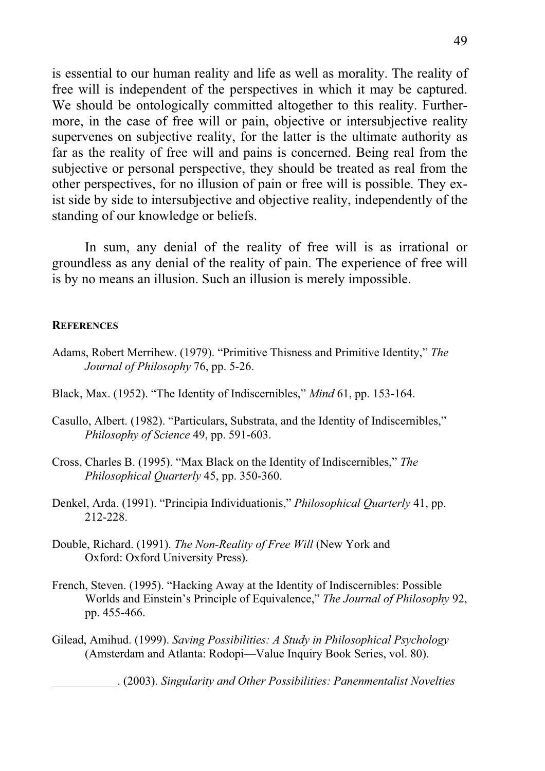is essential to our human reality and life as well as morality. The reality of free will is independent of the perspectives in which it may be captured. We should be ontologically committed altogether to this reality. Furthermore, in the case of free will or pain, objective or intersubjective reality supervenes on subjective reality, for the latter is the ultimate authority as far as the reality of free will and pains is concerned. Being real from the subjective or personal perspective, they should be treated as real from the other perspectives, for no illusion of pain or free will is possible. They exist side by side to intersubjective and objective reality, independently of the standing of our knowledge or beliefs.

In sum, any denial of the reality of free will is as irrational or groundless as any denial of the reality of pain. The experience of free will is by no means an illusion. Such an illusion is merely impossible.

#### **REFERENCES**

- Adams, Robert Merrihew. (1979). "Primitive Thisness and Primitive Identity," *The Journal of Philosophy* 76, pp. 5-26.
- Black, Max. (1952). "The Identity of Indiscernibles," *Mind* 61, pp. 153-164.
- Casullo, Albert. (1982). "Particulars, Substrata, and the Identity of Indiscernibles," *Philosophy of Science* 49, pp. 591-603.
- Cross, Charles B. (1995). "Max Black on the Identity of Indiscernibles," *The Philosophical Quarterly* 45, pp. 350-360.
- Denkel, Arda. (1991). "Principia Individuationis," *Philosophical Quarterly* 41, pp. 212-228.
- Double, Richard. (1991). *The Non-Reality of Free Will* (New York and Oxford: Oxford University Press).
- French, Steven. (1995). "Hacking Away at the Identity of Indiscernibles: Possible Worlds and Einstein's Principle of Equivalence," *The Journal of Philosophy* 92, pp. 455-466.
- Gilead, Amihud. (1999). *Saving Possibilities: A Study in Philosophical Psychology* (Amsterdam and Atlanta: Rodopi—Value Inquiry Book Series, vol. 80).

\_\_\_\_\_\_\_\_\_\_\_. (2003). *Singularity and Other Possibilities: Panenmentalist Novelties*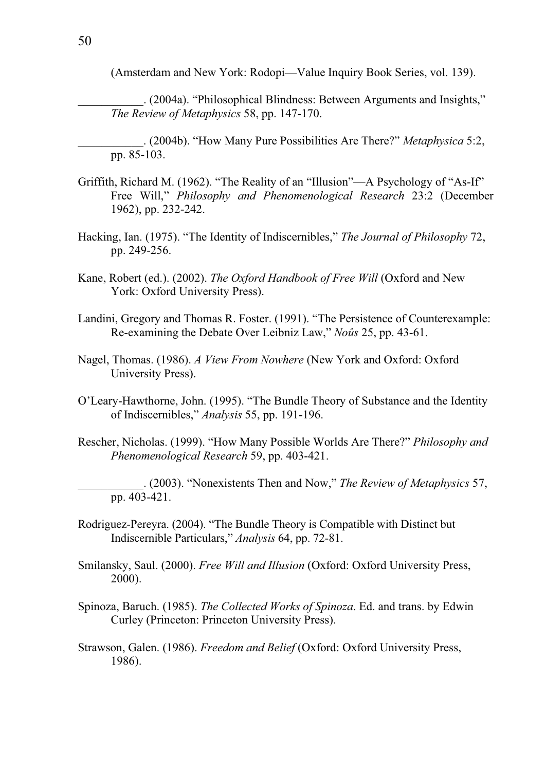(Amsterdam and New York: Rodopi—Value Inquiry Book Series, vol. 139).

\_\_\_\_\_\_\_\_\_\_\_. (2004a). "Philosophical Blindness: Between Arguments and Insights," *The Review of Metaphysics* 58, pp. 147-170.

\_\_\_\_\_\_\_\_\_\_\_. (2004b). "How Many Pure Possibilities Are There?" *Metaphysica* 5:2, pp. 85-103.

- Griffith, Richard M. (1962). "The Reality of an "Illusion"—A Psychology of "As-If" Free Will," *Philosophy and Phenomenological Research* 23:2 (December 1962), pp. 232-242.
- Hacking, Ian. (1975). "The Identity of Indiscernibles," *The Journal of Philosophy* 72, pp. 249-256.
- Kane, Robert (ed.). (2002). *The Oxford Handbook of Free Will* (Oxford and New York: Oxford University Press).
- Landini, Gregory and Thomas R. Foster. (1991). "The Persistence of Counterexample: Re-examining the Debate Over Leibniz Law," *Noûs* 25, pp. 43-61.
- Nagel, Thomas. (1986). *A View From Nowhere* (New York and Oxford: Oxford University Press).
- O'Leary-Hawthorne, John. (1995). "The Bundle Theory of Substance and the Identity of Indiscernibles," *Analysis* 55, pp. 191-196.
- Rescher, Nicholas. (1999). "How Many Possible Worlds Are There?" *Philosophy and Phenomenological Research* 59, pp. 403-421.
	- \_\_\_\_\_\_\_\_\_\_\_. (2003). "Nonexistents Then and Now," *The Review of Metaphysics* 57, pp. 403-421.
- Rodriguez-Pereyra. (2004). "The Bundle Theory is Compatible with Distinct but Indiscernible Particulars," *Analysis* 64, pp. 72-81.
- Smilansky, Saul. (2000). *Free Will and Illusion* (Oxford: Oxford University Press, 2000).
- Spinoza, Baruch. (1985). *The Collected Works of Spinoza*. Ed. and trans. by Edwin Curley (Princeton: Princeton University Press).
- Strawson, Galen. (1986). *Freedom and Belief* (Oxford: Oxford University Press, 1986).